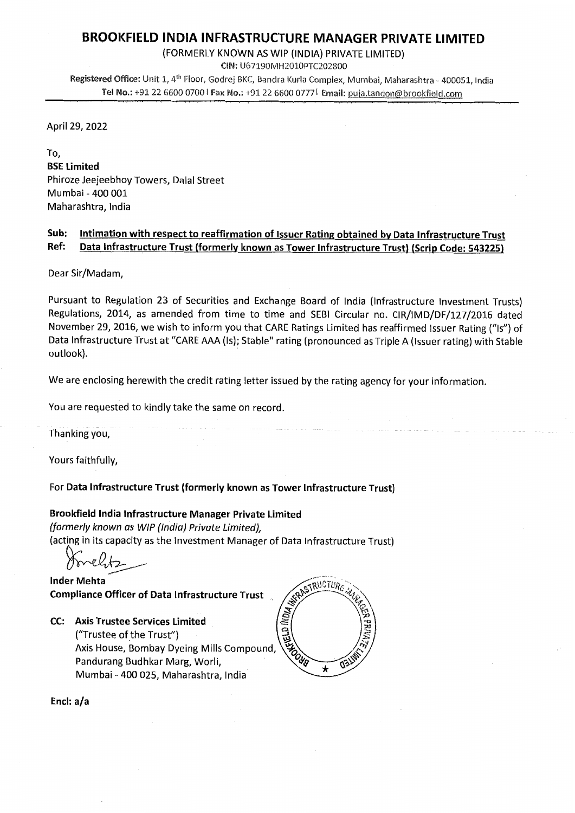# BROOKFIELD INDIA INFRASTRUCTURE MANAGER PRIVATE LIMITED

(FORMERLY KNOWN AS WIP (INDIA) PRIVATE LIMITED)

CIN: U67190MH2010PTC202800

Registered Office: Unit 1, 4<sup>th</sup> Floor, Godrej BKC, Bandra Kurla Complex, Mumbai, Maharashtra - 400051, India Tel No.: +91 22 6600 0700 | Fax No.: +91 22 6600 0777 | Email: puja.tandon@brookfield.com

April 29, 2022

To, BSE Limited Phiroze Jeejeebhoy Towers, Dalal Street Mumbai - 400 001 Maharashtra, India

## Sub: Intimation with respect to reaffirmation of Issuer Rating obtained by Data Infrastructure Trust Ref: Data Infrastructure Trust (formerly known as Tower Infrastructure Trust) (Scrip Code: 543225)

Dear Sir/Madam,

Pursuant to Regulation 23 of Securities and Exchange Board of India (Infrastructure Investment Trusts) Regulations, 2014, as amended from time to time and SEBI Circular no. CIR/IMD/DF/127/2016 dated November 29, 2016, we wish to inform you that CARE Ratings Limited has reaffirmed Issuer Rating ("Is") of Data Infrastructure Trust at "CARE AAA (Is); Stable" rating (pronounced as Triple A (Issuer rating) with Stable outlook).

We are enclosing herewith the credit rating letter issued by the rating agency for your information.

You are requested to kindly take the same on record.

Thanking you,

Yours faithfully,

For Data Infrastructure Trust (formerly known as Tower Infrastructure Trust)

### Brookfield India Infrastructure Manager Private Limited

(formerly known as WIP (India) Private Limited), (acting in its capacity as the Investment Manager of Data Infrastructure Trust)

Inder Mehta . version of the contract of  $\widehat{N_{k,i}}$ 

Compliance Officer of Data Infrastructure Trust<br>
CC: Axis Trustee Services Limited<br>
("Trustee of the Trust")<br>
Axis House, Bombay Dyeing Mills Compound,<br>
Pandurang Budhkar Marg, Worli,<br>
Mumbai - 400.025. Mahari Ji CC: Axis Trustee Services Limited ("Trustee of the Trust") Axis House, Bombay Dyeing Mills Compound, Pandurang Budhkar Marg, Worli, / Mumbai - 400 025, Maharashtra, India



Encl: a/a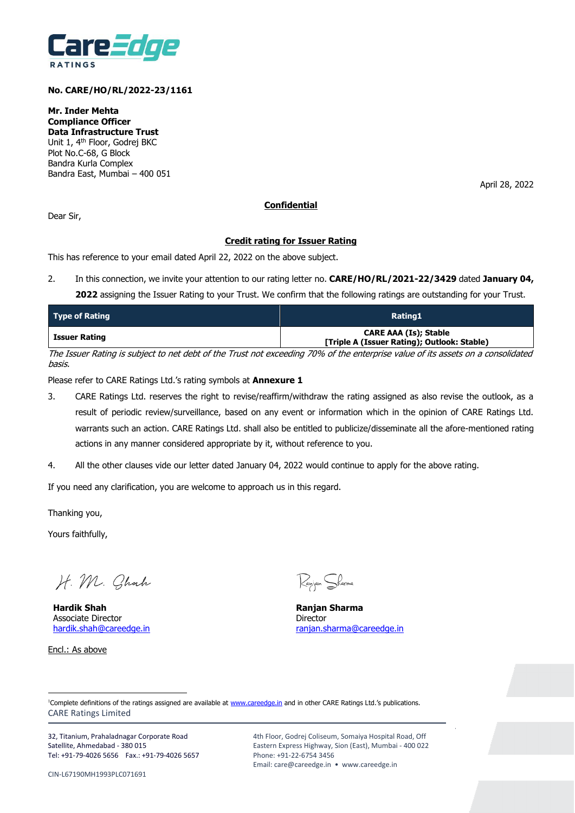

### **No. CARE/HO/RL/2022-23/1161**

**Mr. Inder Mehta Compliance Officer Data Infrastructure Trust** Unit 1, 4th Floor, Godrej BKC Plot No.C-68, G Block Bandra Kurla Complex Bandra East, Mumbai – 400 051

April 28, 2022

#### **Confidential**

Dear Sir,

#### **Credit rating for Issuer Rating**

This has reference to your email dated April 22, 2022 on the above subject.

2. In this connection, we invite your attention to our rating letter no. **CARE/HO/RL/2021-22/3429** dated **January 04,** 

**2022** assigning the Issuer Rating to your Trust. We confirm that the following ratings are outstanding for your Trust.

| <b>Type of Rating</b> | Rating1                                                              |
|-----------------------|----------------------------------------------------------------------|
| Issuer Rating         | CARE AAA (Is); Stable<br>[Triple A (Issuer Rating); Outlook: Stable) |
|                       |                                                                      |

The Issuer Rating is subject to net debt of the Trust not exceeding 70% of the enterprise value of its assets on a consolidated basis.

Please refer to CARE Ratings Ltd.'s rating symbols at **Annexure 1**

- 3. CARE Ratings Ltd. reserves the right to revise/reaffirm/withdraw the rating assigned as also revise the outlook, as a result of periodic review/surveillance, based on any event or information which in the opinion of CARE Ratings Ltd. warrants such an action. CARE Ratings Ltd. shall also be entitled to publicize/disseminate all the afore-mentioned rating actions in any manner considered appropriate by it, without reference to you.
- 4. All the other clauses vide our letter dated January 04, 2022 would continue to apply for the above rating.

If you need any clarification, you are welcome to approach us in this regard.

Thanking you,

Yours faithfully,

H. M. Chach

**Hardik Shah Ranjan Sharma**  Associate Director **Director** Director

Encl.: As above

 $\overline{a}$ 

Ranjan Sharma

[hardik.shah@careedge.in](mailto:hardik.shah@careedge.in) ranjan.sharma@careedge.in

CARE Ratings Limited <sup>1</sup>Complete definitions of the ratings assigned are available at [www.careedge.in](http://www.careedge.in/) and in other CARE Ratings Ltd.'s publications.

32, Titanium, Prahaladnagar Corporate Road Satellite, Ahmedabad - 380 015 Tel: +91-79-4026 5656 Fax.: +91-79-4026 5657

CIN-L67190MH1993PLC071691

4th Floor, Godrej Coliseum, Somaiya Hospital Road, Off Eastern Express Highway, Sion (East), Mumbai - 400 022 Phone: +91-22-6754 3456 Email: care@careedge.in • www.careedge.in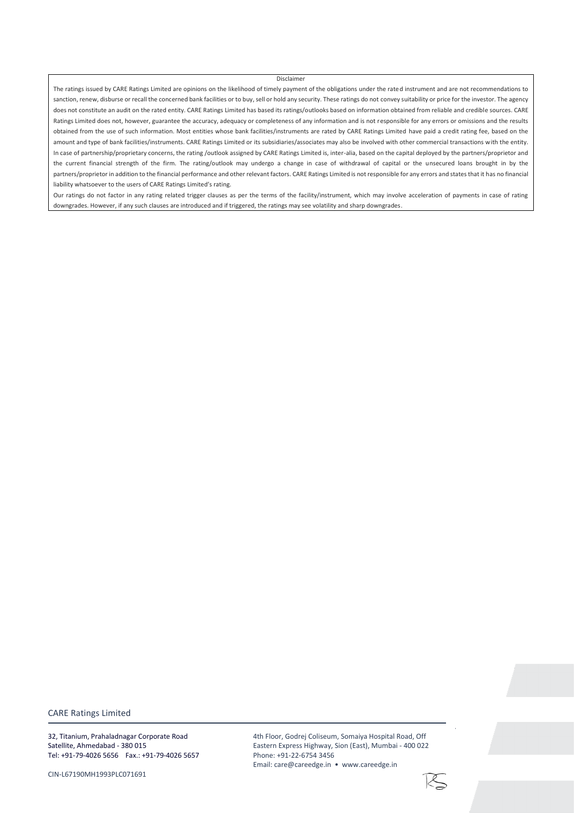#### Disclaimer

The ratings issued by CARE Ratings Limited are opinions on the likelihood of timely payment of the obligations under the rated instrument and are not recommendations to sanction, renew, disburse or recall the concerned bank facilities or to buy, sell or hold any security. These ratings do not convey suitability or price for the investor. The agency does not constitute an audit on the rated entity. CARE Ratings Limited has based its ratings/outlooks based on information obtained from reliable and credible sources. CARE Ratings Limited does not, however, guarantee the accuracy, adequacy or completeness of any information and is not responsible for any errors or omissions and the results obtained from the use of such information. Most entities whose bank facilities/instruments are rated by CARE Ratings Limited have paid a credit rating fee, based on the amount and type of bank facilities/instruments. CARE Ratings Limited or its subsidiaries/associates may also be involved with other commercial transactions with the entity. In case of partnership/proprietary concerns, the rating /outlook assigned by CARE Ratings Limited is, inter-alia, based on the capital deployed by the partners/proprietor and the current financial strength of the firm. The rating/outlook may undergo a change in case of withdrawal of capital or the unsecured loans brought in by the partners/proprietor in addition to the financial performance and other relevant factors. CARE Ratings Limited is not responsible for any errors and states that it has no financial liability whatsoever to the users of CARE Ratings Limited's rating.

Our ratings do not factor in any rating related trigger clauses as per the terms of the facility/instrument, which may involve acceleration of payments in case of rating downgrades. However, if any such clauses are introduced and if triggered, the ratings may see volatility and sharp downgrades.

CARE Ratings Limited

32, Titanium, Prahaladnagar Corporate Road Satellite, Ahmedabad - 380 015 Tel: +91-79-4026 5656 Fax.: +91-79-4026 5657

CIN-L67190MH1993PLC071691

4th Floor, Godrej Coliseum, Somaiya Hospital Road, Off Eastern Express Highway, Sion (East), Mumbai - 400 022 Phone: +91-22-6754 3456 Email: care@careedge.in • www.careedge.in